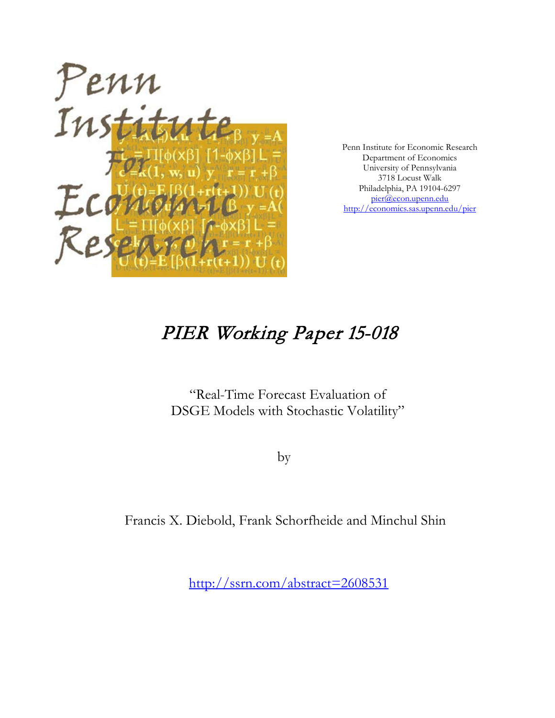

Penn Institute for Economic Research Department of Economics University of Pennsylvania 3718 Locust Walk Philadelphia, PA 19104-6297 [pier@econ.upenn.edu](mailto:pier@econ.upenn.edu) <http://economics.sas.upenn.edu/pier>

# PIER Working Paper 15-018

"Real-Time Forecast Evaluation of DSGE Models with Stochastic Volatility"

by

Francis X. Diebold, Frank Schorfheide and Minchul Shin

[http://ssrn.com/abstract=2](http://ssrn.com/abstract_id=)608531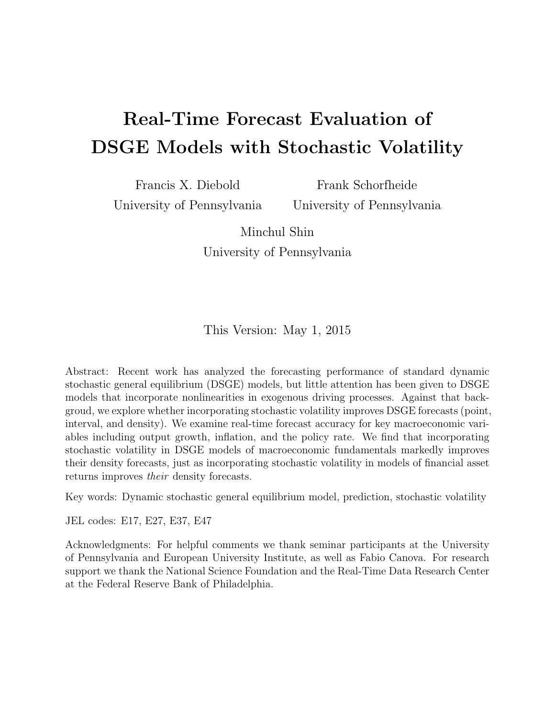# Real-Time Forecast Evaluation of DSGE Models with Stochastic Volatility

Francis X. Diebold University of Pennsylvania

Frank Schorfheide University of Pennsylvania

Minchul Shin University of Pennsylvania

This Version: May 1, 2015

Abstract: Recent work has analyzed the forecasting performance of standard dynamic stochastic general equilibrium (DSGE) models, but little attention has been given to DSGE models that incorporate nonlinearities in exogenous driving processes. Against that backgroud, we explore whether incorporating stochastic volatility improves DSGE forecasts (point, interval, and density). We examine real-time forecast accuracy for key macroeconomic variables including output growth, inflation, and the policy rate. We find that incorporating stochastic volatility in DSGE models of macroeconomic fundamentals markedly improves their density forecasts, just as incorporating stochastic volatility in models of financial asset returns improves their density forecasts.

Key words: Dynamic stochastic general equilibrium model, prediction, stochastic volatility

JEL codes: E17, E27, E37, E47

Acknowledgments: For helpful comments we thank seminar participants at the University of Pennsylvania and European University Institute, as well as Fabio Canova. For research support we thank the National Science Foundation and the Real-Time Data Research Center at the Federal Reserve Bank of Philadelphia.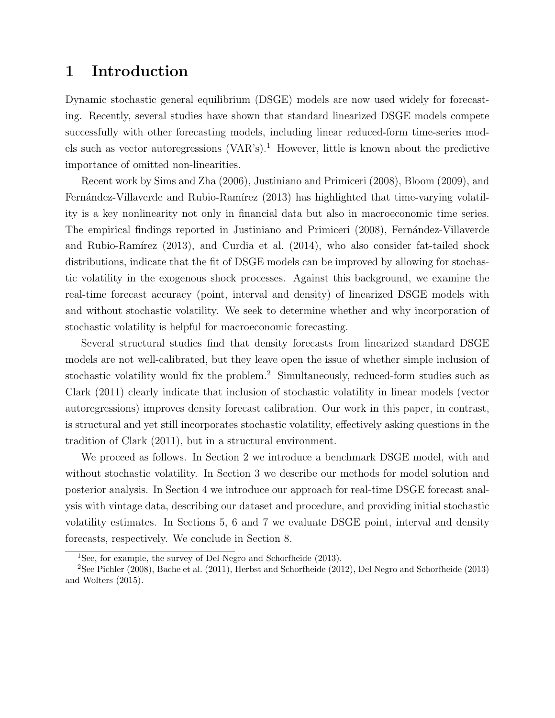# 1 Introduction

Dynamic stochastic general equilibrium (DSGE) models are now used widely for forecasting. Recently, several studies have shown that standard linearized DSGE models compete successfully with other forecasting models, including linear reduced-form time-series mod-els such as vector autoregressions (VAR's).<sup>[1](#page-2-0)</sup> However, little is known about the predictive importance of omitted non-linearities.

Recent work by [Sims and Zha](#page-24-0) [\(2006\)](#page-24-0), [Justiniano and Primiceri](#page-24-1) [\(2008\)](#page-24-1), [Bloom](#page-23-0) [\(2009\)](#page-23-0), and Fernández-Villaverde and Rubio-Ramírez [\(2013\)](#page-24-2) has highlighted that time-varying volatility is a key nonlinearity not only in financial data but also in macroeconomic time series. The empirical findings reported in [Justiniano and Primiceri](#page-24-1) [\(2008\)](#page-24-1), Fernández-Villaverde and Rubio-Ramírez  $(2013)$ , and [Curdia et al.](#page-23-1)  $(2014)$ , who also consider fat-tailed shock distributions, indicate that the fit of DSGE models can be improved by allowing for stochastic volatility in the exogenous shock processes. Against this background, we examine the real-time forecast accuracy (point, interval and density) of linearized DSGE models with and without stochastic volatility. We seek to determine whether and why incorporation of stochastic volatility is helpful for macroeconomic forecasting.

Several structural studies find that density forecasts from linearized standard DSGE models are not well-calibrated, but they leave open the issue of whether simple inclusion of stochastic volatility would fix the problem.[2](#page-2-1) Simultaneously, reduced-form studies such as [Clark](#page-23-2) [\(2011\)](#page-23-2) clearly indicate that inclusion of stochastic volatility in linear models (vector autoregressions) improves density forecast calibration. Our work in this paper, in contrast, is structural and yet still incorporates stochastic volatility, effectively asking questions in the tradition of [Clark](#page-23-2) [\(2011\)](#page-23-2), but in a structural environment.

We proceed as follows. In Section [2](#page-3-0) we introduce a benchmark DSGE model, with and without stochastic volatility. In Section [3](#page-5-0) we describe our methods for model solution and posterior analysis. In Section [4](#page-9-0) we introduce our approach for real-time DSGE forecast analysis with vintage data, describing our dataset and procedure, and providing initial stochastic volatility estimates. In Sections [5,](#page-11-0) [6](#page-14-0) and [7](#page-17-0) we evaluate DSGE point, interval and density forecasts, respectively. We conclude in Section [8.](#page-22-0)

<span id="page-2-1"></span><span id="page-2-0"></span><sup>1</sup>See, for example, the survey of [Del Negro and Schorfheide](#page-23-3) [\(2013\)](#page-23-3).

<sup>2</sup>See [Pichler](#page-24-3) [\(2008\)](#page-24-3), [Bache et al.](#page-23-4) [\(2011\)](#page-23-4), [Herbst and Schorfheide](#page-24-4) [\(2012\)](#page-24-4), [Del Negro and Schorfheide](#page-23-3) [\(2013\)](#page-23-3) and [Wolters](#page-24-5) [\(2015\)](#page-24-5).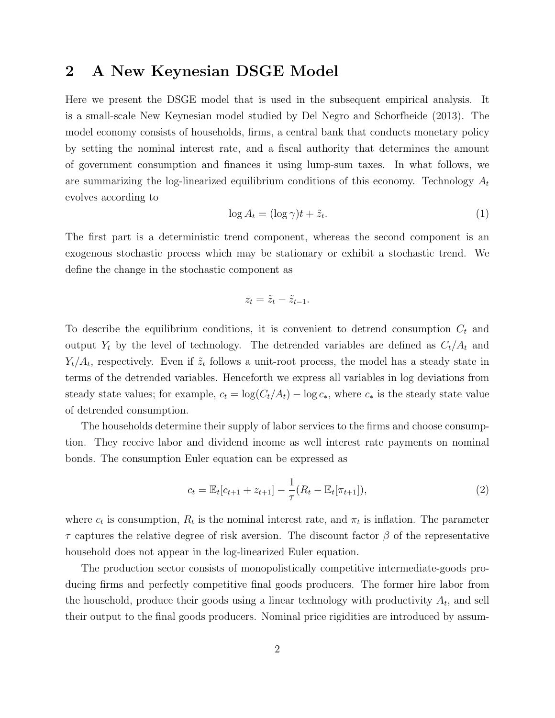# <span id="page-3-0"></span>2 A New Keynesian DSGE Model

Here we present the DSGE model that is used in the subsequent empirical analysis. It is a small-scale New Keynesian model studied by [Del Negro and Schorfheide](#page-23-3) [\(2013\)](#page-23-3). The model economy consists of households, firms, a central bank that conducts monetary policy by setting the nominal interest rate, and a fiscal authority that determines the amount of government consumption and finances it using lump-sum taxes. In what follows, we are summarizing the log-linearized equilibrium conditions of this economy. Technology  $A_t$ evolves according to

$$
\log A_t = (\log \gamma)t + \tilde{z}_t. \tag{1}
$$

The first part is a deterministic trend component, whereas the second component is an exogenous stochastic process which may be stationary or exhibit a stochastic trend. We define the change in the stochastic component as

$$
z_t = \tilde{z}_t - \tilde{z}_{t-1}.
$$

To describe the equilibrium conditions, it is convenient to detrend consumption  $C_t$  and output  $Y_t$  by the level of technology. The detrended variables are defined as  $C_t/A_t$  and  $Y_t/A_t$ , respectively. Even if  $\tilde{z}_t$  follows a unit-root process, the model has a steady state in terms of the detrended variables. Henceforth we express all variables in log deviations from steady state values; for example,  $c_t = \log(C_t/A_t) - \log c_*$ , where  $c_*$  is the steady state value of detrended consumption.

The households determine their supply of labor services to the firms and choose consumption. They receive labor and dividend income as well interest rate payments on nominal bonds. The consumption Euler equation can be expressed as

<span id="page-3-1"></span>
$$
c_t = \mathbb{E}_t[c_{t+1} + z_{t+1}] - \frac{1}{\tau}(R_t - \mathbb{E}_t[\pi_{t+1}]),
$$
\n(2)

where  $c_t$  is consumption,  $R_t$  is the nominal interest rate, and  $\pi_t$  is inflation. The parameter  $\tau$  captures the relative degree of risk aversion. The discount factor  $\beta$  of the representative household does not appear in the log-linearized Euler equation.

The production sector consists of monopolistically competitive intermediate-goods producing firms and perfectly competitive final goods producers. The former hire labor from the household, produce their goods using a linear technology with productivity  $A_t$ , and sell their output to the final goods producers. Nominal price rigidities are introduced by assum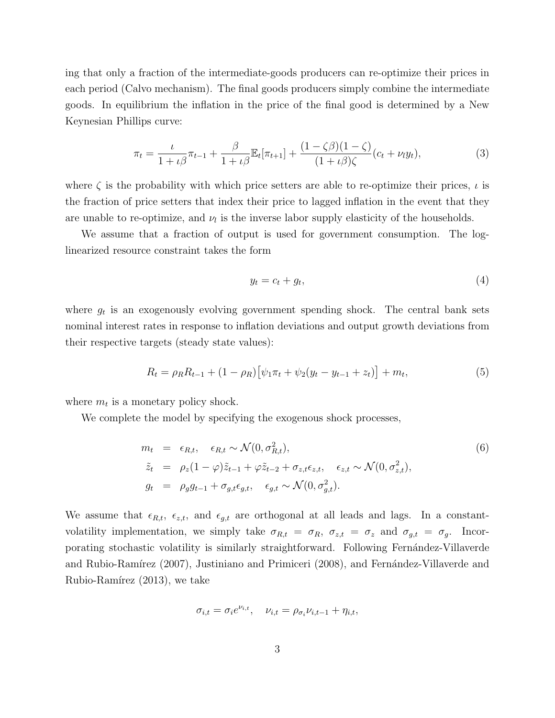ing that only a fraction of the intermediate-goods producers can re-optimize their prices in each period (Calvo mechanism). The final goods producers simply combine the intermediate goods. In equilibrium the inflation in the price of the final good is determined by a New Keynesian Phillips curve:

$$
\pi_t = \frac{\iota}{1 + \iota \beta} \pi_{t-1} + \frac{\beta}{1 + \iota \beta} \mathbb{E}_t[\pi_{t+1}] + \frac{(1 - \zeta \beta)(1 - \zeta)}{(1 + \iota \beta)\zeta} (c_t + \nu_t y_t),\tag{3}
$$

where  $\zeta$  is the probability with which price setters are able to re-optimize their prices,  $\iota$  is the fraction of price setters that index their price to lagged inflation in the event that they are unable to re-optimize, and  $\nu_l$  is the inverse labor supply elasticity of the households.

We assume that a fraction of output is used for government consumption. The loglinearized resource constraint takes the form

$$
y_t = c_t + g_t,\tag{4}
$$

where  $g_t$  is an exogenously evolving government spending shock. The central bank sets nominal interest rates in response to inflation deviations and output growth deviations from their respective targets (steady state values):

$$
R_t = \rho_R R_{t-1} + (1 - \rho_R) [\psi_1 \pi_t + \psi_2 (y_t - y_{t-1} + z_t)] + m_t,
$$
\n(5)

where  $m_t$  is a monetary policy shock.

We complete the model by specifying the exogenous shock processes,

<span id="page-4-0"></span>
$$
m_t = \epsilon_{R,t}, \quad \epsilon_{R,t} \sim \mathcal{N}(0, \sigma_{R,t}^2),
$$
  
\n
$$
\tilde{z}_t = \rho_z (1 - \varphi) \tilde{z}_{t-1} + \varphi \tilde{z}_{t-2} + \sigma_{z,t} \epsilon_{z,t}, \quad \epsilon_{z,t} \sim \mathcal{N}(0, \sigma_{z,t}^2),
$$
  
\n
$$
g_t = \rho_g g_{t-1} + \sigma_{g,t} \epsilon_{g,t}, \quad \epsilon_{g,t} \sim \mathcal{N}(0, \sigma_{g,t}^2).
$$
\n
$$
(6)
$$

We assume that  $\epsilon_{R,t}$ ,  $\epsilon_{z,t}$ , and  $\epsilon_{g,t}$  are orthogonal at all leads and lags. In a constantvolatility implementation, we simply take  $\sigma_{R,t} = \sigma_R$ ,  $\sigma_{z,t} = \sigma_z$  and  $\sigma_{g,t} = \sigma_g$ . Incorporating stochastic volatility is similarly straightforward. Following Fernández-Villaverde and Rubio-Ramírez [\(2007\)](#page-23-5), [Justiniano and Primiceri](#page-24-1) [\(2008\)](#page-24-1), and Fernández-Villaverde and Rubio-Ramírez  $(2013)$ , we take

$$
\sigma_{i,t} = \sigma_i e^{\nu_{i,t}}, \quad \nu_{i,t} = \rho_{\sigma_i} \nu_{i,t-1} + \eta_{i,t},
$$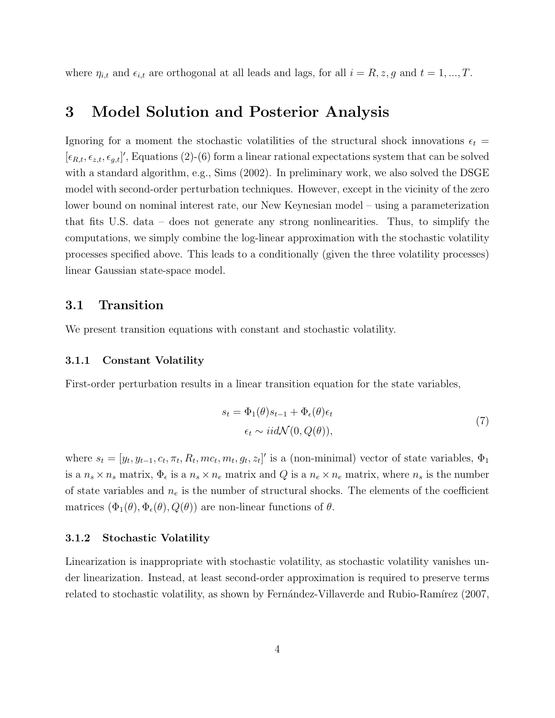where  $\eta_{i,t}$  and  $\epsilon_{i,t}$  are orthogonal at all leads and lags, for all  $i = R, z, g$  and  $t = 1, ..., T$ .

# <span id="page-5-0"></span>3 Model Solution and Posterior Analysis

Ignoring for a moment the stochastic volatilities of the structural shock innovations  $\epsilon_t$  $[\epsilon_{R,t}, \epsilon_{z,t}, \epsilon_{g,t}]'$ , Equations [\(2\)](#page-3-1)-[\(6\)](#page-4-0) form a linear rational expectations system that can be solved with a standard algorithm, e.g., [Sims](#page-24-6) [\(2002\)](#page-24-6). In preliminary work, we also solved the DSGE model with second-order perturbation techniques. However, except in the vicinity of the zero lower bound on nominal interest rate, our New Keynesian model – using a parameterization that fits U.S. data – does not generate any strong nonlinearities. Thus, to simplify the computations, we simply combine the log-linear approximation with the stochastic volatility processes specified above. This leads to a conditionally (given the three volatility processes) linear Gaussian state-space model.

### 3.1 Transition

We present transition equations with constant and stochastic volatility.

#### 3.1.1 Constant Volatility

First-order perturbation results in a linear transition equation for the state variables,

$$
s_t = \Phi_1(\theta)s_{t-1} + \Phi_{\epsilon}(\theta)\epsilon_t
$$
  
\n
$$
\epsilon_t \sim iid\mathcal{N}(0, Q(\theta)),
$$
\n(7)

where  $s_t = [y_t, y_{t-1}, c_t, \pi_t, R_t, mc_t, m_t, g_t, z_t]'$  is a (non-minimal) vector of state variables,  $\Phi_1$ is a  $n_s \times n_s$  matrix,  $\Phi_{\epsilon}$  is a  $n_s \times n_e$  matrix and Q is a  $n_e \times n_e$  matrix, where  $n_s$  is the number of state variables and  $n_e$  is the number of structural shocks. The elements of the coefficient matrices  $(\Phi_1(\theta), \Phi_\epsilon(\theta), Q(\theta))$  are non-linear functions of  $\theta$ .

#### 3.1.2 Stochastic Volatility

Linearization is inappropriate with stochastic volatility, as stochastic volatility vanishes under linearization. Instead, at least second-order approximation is required to preserve terms related to stochastic volatility, as shown by Fernández-Villaverde and Rubio-Ramírez [\(2007,](#page-23-5)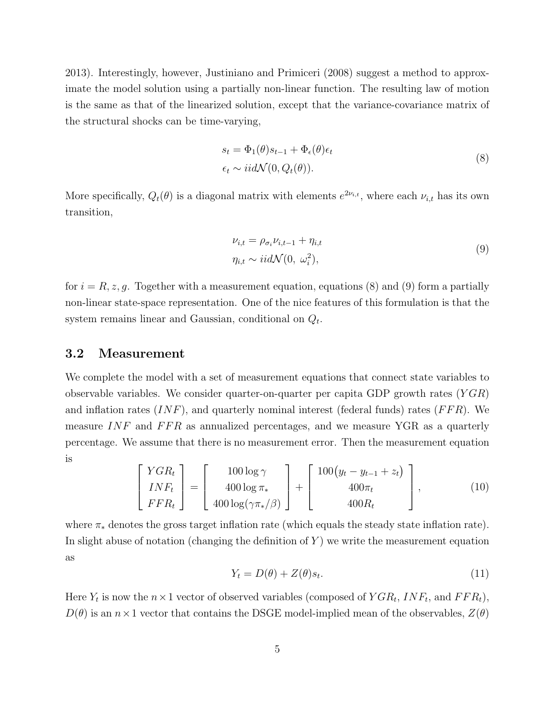[2013\)](#page-24-2). Interestingly, however, [Justiniano and Primiceri](#page-24-1) [\(2008\)](#page-24-1) suggest a method to approximate the model solution using a partially non-linear function. The resulting law of motion is the same as that of the linearized solution, except that the variance-covariance matrix of the structural shocks can be time-varying,

$$
s_t = \Phi_1(\theta)s_{t-1} + \Phi_{\epsilon}(\theta)\epsilon_t
$$
  
\n
$$
\epsilon_t \sim i i d \mathcal{N}(0, Q_t(\theta)).
$$
\n(8)

<span id="page-6-0"></span>More specifically,  $Q_t(\theta)$  is a diagonal matrix with elements  $e^{2\nu_{i,t}}$ , where each  $\nu_{i,t}$  has its own transition,

$$
\nu_{i,t} = \rho_{\sigma_i} \nu_{i,t-1} + \eta_{i,t}
$$
  

$$
\eta_{i,t} \sim i i d \mathcal{N}(0, \omega_i^2),
$$
 (9)

<span id="page-6-1"></span>for  $i = R, z, g$ . Together with a measurement equation, equations [\(8\)](#page-6-0) and [\(9\)](#page-6-1) form a partially non-linear state-space representation. One of the nice features of this formulation is that the system remains linear and Gaussian, conditional on  $Q_t$ .

#### 3.2 Measurement

We complete the model with a set of measurement equations that connect state variables to observable variables. We consider quarter-on-quarter per capita GDP growth rates  $(YGR)$ and inflation rates  $(INF)$ , and quarterly nominal interest (federal funds) rates  $(FFR)$ . We measure  $INF$  and  $FFR$  as annualized percentages, and we measure YGR as a quarterly percentage. We assume that there is no measurement error. Then the measurement equation is

$$
\begin{bmatrix}\nYGR_t \\
INF_t \\
FFR_t\n\end{bmatrix} = \begin{bmatrix}\n100\log \gamma \\
400\log \pi_* \\
400\log(\gamma \pi_*/\beta)\n\end{bmatrix} + \begin{bmatrix}\n100(y_t - y_{t-1} + z_t) \\
400\pi_t \\
400R_t\n\end{bmatrix},
$$
\n(10)

where  $\pi_*$  denotes the gross target inflation rate (which equals the steady state inflation rate). In slight abuse of notation (changing the definition of  $Y$ ) we write the measurement equation as

<span id="page-6-2"></span>
$$
Y_t = D(\theta) + Z(\theta)s_t.
$$
\n(11)

Here  $Y_t$  is now the  $n \times 1$  vector of observed variables (composed of  $YGR_t$ ,  $INF_t$ , and  $FFR_t$ ),  $D(\theta)$  is an  $n \times 1$  vector that contains the DSGE model-implied mean of the observables,  $Z(\theta)$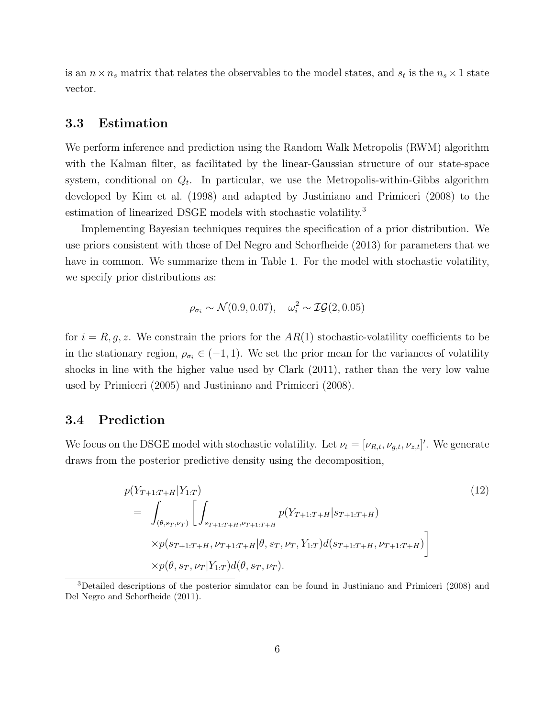is an  $n \times n_s$  matrix that relates the observables to the model states, and  $s_t$  is the  $n_s \times 1$  state vector.

#### 3.3 Estimation

We perform inference and prediction using the Random Walk Metropolis (RWM) algorithm with the Kalman filter, as facilitated by the linear-Gaussian structure of our state-space system, conditional on  $Q_t$ . In particular, we use the Metropolis-within-Gibbs algorithm developed by [Kim et al.](#page-24-7) [\(1998\)](#page-24-7) and adapted by [Justiniano and Primiceri](#page-24-1) [\(2008\)](#page-24-1) to the estimation of linearized DSGE models with stochastic volatility.<sup>[3](#page-7-0)</sup>

Implementing Bayesian techniques requires the specification of a prior distribution. We use priors consistent with those of [Del Negro and Schorfheide](#page-23-3) [\(2013\)](#page-23-3) for parameters that we have in common. We summarize them in Table [1.](#page-8-0) For the model with stochastic volatility, we specify prior distributions as:

$$
\rho_{\sigma_i} \sim \mathcal{N}(0.9, 0.07), \quad \omega_i^2 \sim \mathcal{IG}(2, 0.05)
$$

for  $i = R, g, z$ . We constrain the priors for the  $AR(1)$  stochastic-volatility coefficients to be in the stationary region,  $\rho_{\sigma_i} \in (-1, 1)$ . We set the prior mean for the variances of volatility shocks in line with the higher value used by [Clark](#page-23-2) [\(2011\)](#page-23-2), rather than the very low value used by [Primiceri](#page-24-8) [\(2005\)](#page-24-8) and [Justiniano and Primiceri](#page-24-1) [\(2008\)](#page-24-1).

#### 3.4 Prediction

We focus on the DSGE model with stochastic volatility. Let  $\nu_t = [\nu_{R,t}, \nu_{g,t}, \nu_{z,t}]'$ . We generate draws from the posterior predictive density using the decomposition,

$$
p(Y_{T+1:T+H}|Y_{1:T})
$$
\n
$$
= \int_{(\theta,s_T,\nu_T)} \left[ \int_{s_{T+1:T+H},\nu_{T+1:T+H}} p(Y_{T+1:T+H}|s_{T+1:T+H}) \times p(s_{T+1:T+H},\nu_{T+1:T+H}|\theta,s_T,\nu_T,Y_{1:T}) d(s_{T+1:T+H},\nu_{T+1:T+H}) \right]
$$
\n
$$
\times p(\theta,s_T,\nu_T|Y_{1:T}) d(\theta,s_T,\nu_T).
$$
\n(12)

<span id="page-7-0"></span><sup>3</sup>Detailed descriptions of the posterior simulator can be found in [Justiniano and Primiceri](#page-24-1) [\(2008\)](#page-24-1) and [Del Negro and Schorfheide](#page-23-6) [\(2011\)](#page-23-6).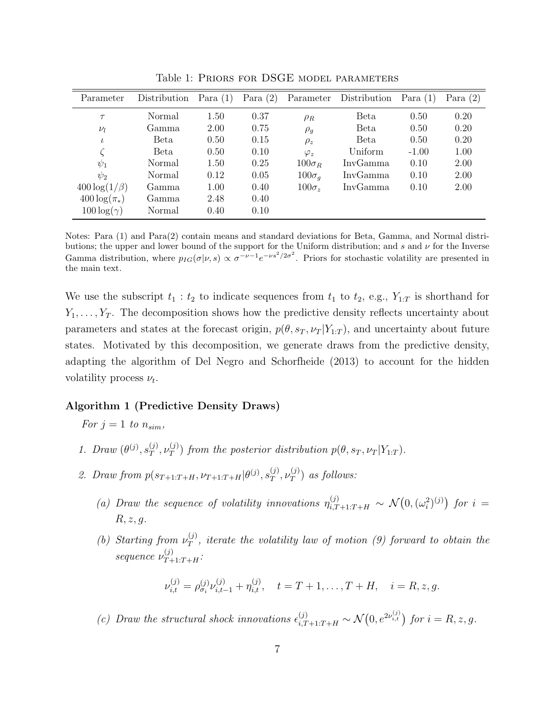| Parameter           | Distribution | Para $(1)$ | Para $(2)$ |               | Parameter Distribution | Para $(1)$ | Para $(2)$ |
|---------------------|--------------|------------|------------|---------------|------------------------|------------|------------|
| $\tau$              | Normal       | 1.50       | 0.37       | $\rho_R$      | Beta                   | 0.50       | 0.20       |
| $\nu_l$             | Gamma        | 2.00       | 0.75       | $\rho_q$      | Beta                   | 0.50       | 0.20       |
| $\iota$             | Beta         | 0.50       | 0.15       | $\rho_z$      | Beta                   | 0.50       | 0.20       |
|                     | Beta         | 0.50       | 0.10       | $\varphi_z$   | Uniform                | $-1.00$    | 1.00       |
| $\psi_1$            | Normal       | 1.50       | 0.25       | $100\sigma_R$ | InvGamma               | 0.10       | 2.00       |
| $\psi_2$            | Normal       | 0.12       | 0.05       | $100\sigma_q$ | InvGamma               | 0.10       | 2.00       |
| $400 \log(1/\beta)$ | Gamma        | 1.00       | 0.40       | $100\sigma_z$ | InvGamma               | 0.10       | 2.00       |
| $400 \log(\pi_*)$   | Gamma        | 2.48       | 0.40       |               |                        |            |            |
| $100 \log(\gamma)$  | Normal       | 0.40       | 0.10       |               |                        |            |            |

<span id="page-8-0"></span>Table 1: Priors for DSGE model parameters

Notes: Para (1) and Para(2) contain means and standard deviations for Beta, Gamma, and Normal distributions; the upper and lower bound of the support for the Uniform distribution; and s and  $\nu$  for the Inverse Gamma distribution, where  $p_{IG}(\sigma|\nu, s) \propto \sigma^{-\nu-1} e^{-\nu s^2/2\sigma^2}$ . Priors for stochastic volatility are presented in the main text.

We use the subscript  $t_1 : t_2$  to indicate sequences from  $t_1$  to  $t_2$ , e.g.,  $Y_{1:T}$  is shorthand for  $Y_1, \ldots, Y_T$ . The decomposition shows how the predictive density reflects uncertainty about parameters and states at the forecast origin,  $p(\theta, s_T, \nu_T | Y_{1:T})$ , and uncertainty about future states. Motivated by this decomposition, we generate draws from the predictive density, adapting the algorithm of [Del Negro and Schorfheide](#page-23-3) [\(2013\)](#page-23-3) to account for the hidden volatility process  $\nu_t$ .

#### <span id="page-8-1"></span>Algorithm 1 (Predictive Density Draws)

For  $j = 1$  to  $n_{sim}$ ,

- 1. Draw  $(\theta^{(j)}, s_T^{(j)})$  $_T^{(j)}, \nu_T^{(j)}$  $T(T(T))$  from the posterior distribution  $p(\theta, s_T, \nu_T | Y_{1:T})$ .
- <span id="page-8-2"></span>2. Draw from  $p(s_{T+1:T+H}, \nu_{T+1:T+H} | \theta^{(j)}, s_T^{(j)})$  $_T^{(j)},\nu_T^{(j)}$  $T^{(J)}$  as follows:
	- (a) Draw the sequence of volatility innovations  $\eta_{i,T+1:T+H}^{(j)} \sim \mathcal{N}(0, (\omega_i^2)^{(j)})$  for  $i =$  $R, z, g.$
	- (b) Starting from  $\nu_T^{(j)}$  $T(T)$ , iterate the volatility law of motion [\(9\)](#page-6-1) forward to obtain the sequence  $\nu_{T+1:T+H}^{(j)}$ :

$$
\nu_{i,t}^{(j)} = \rho_{\sigma_i}^{(j)} \nu_{i,t-1}^{(j)} + \eta_{i,t}^{(j)}, \quad t = T + 1, \dots, T + H, \quad i = R, z, g.
$$

(c) Draw the structural shock innovations  $\epsilon_{i,T+1:T+H}^{(j)} \sim \mathcal{N}(0, e^{2\nu_{i,t}^{(j)}})$  for  $i = R, z, g$ .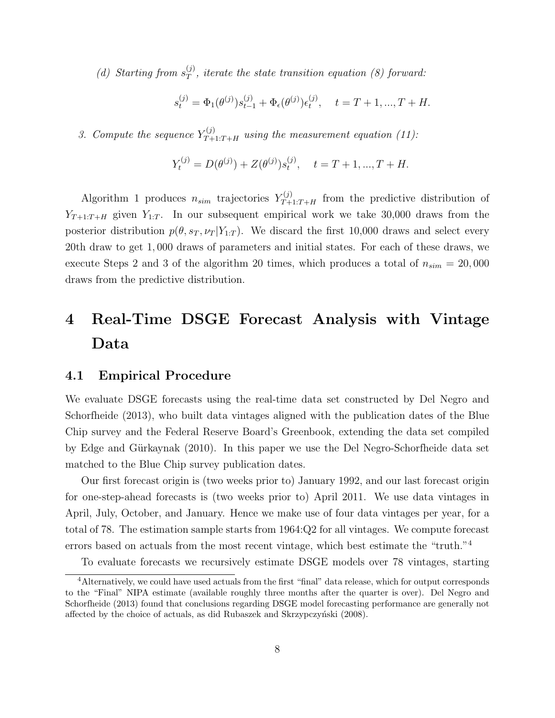(d) Starting from  $s_T^{(j)}$  $T(T)$ , iterate the state transition equation [\(8\)](#page-6-0) forward:

$$
s_t^{(j)} = \Phi_1(\theta^{(j)}) s_{t-1}^{(j)} + \Phi_\epsilon(\theta^{(j)}) \epsilon_t^{(j)}, \quad t = T + 1, ..., T + H.
$$

<span id="page-9-1"></span>3. Compute the sequence  $Y_{T+1:T+H}^{(j)}$  using the measurement equation [\(11\)](#page-6-2):

$$
Y_t^{(j)} = D(\theta^{(j)}) + Z(\theta^{(j)})s_t^{(j)}, \quad t = T + 1, ..., T + H.
$$

Algorithm [1](#page-8-1) produces  $n_{sim}$  trajectories  $Y_{T+1:T+H}^{(j)}$  from the predictive distribution of  $Y_{T+1:T+H}$  given  $Y_{1:T}$ . In our subsequent empirical work we take 30,000 draws from the posterior distribution  $p(\theta, s_T, \nu_T | Y_{1:T})$ . We discard the first 10,000 draws and select every 20th draw to get 1, 000 draws of parameters and initial states. For each of these draws, we execute Steps [2](#page-8-2) and [3](#page-9-1) of the algorithm 20 times, which produces a total of  $n_{sim} = 20,000$ draws from the predictive distribution.

# <span id="page-9-0"></span>4 Real-Time DSGE Forecast Analysis with Vintage Data

#### 4.1 Empirical Procedure

We evaluate DSGE forecasts using the real-time data set constructed by [Del Negro and](#page-23-3) [Schorfheide](#page-23-3) [\(2013\)](#page-23-3), who built data vintages aligned with the publication dates of the Blue Chip survey and the Federal Reserve Board's Greenbook, extending the data set compiled by Edge and Gürkaynak [\(2010\)](#page-23-7). In this paper we use the Del Negro-Schorfheide data set matched to the Blue Chip survey publication dates.

Our first forecast origin is (two weeks prior to) January 1992, and our last forecast origin for one-step-ahead forecasts is (two weeks prior to) April 2011. We use data vintages in April, July, October, and January. Hence we make use of four data vintages per year, for a total of 78. The estimation sample starts from 1964:Q2 for all vintages. We compute forecast errors based on actuals from the most recent vintage, which best estimate the "truth."[4](#page-9-2)

<span id="page-9-2"></span>To evaluate forecasts we recursively estimate DSGE models over 78 vintages, starting

<sup>4</sup>Alternatively, we could have used actuals from the first "final" data release, which for output corresponds to the "Final" NIPA estimate (available roughly three months after the quarter is over). [Del Negro and](#page-23-3) [Schorfheide](#page-23-3) [\(2013\)](#page-23-3) found that conclusions regarding DSGE model forecasting performance are generally not affected by the choice of actuals, as did Rubaszek and Skrzypczyński [\(2008\)](#page-24-9).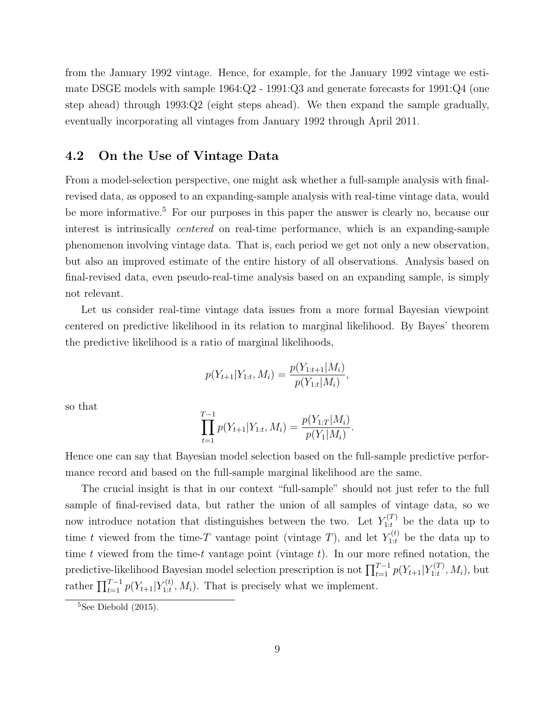from the January 1992 vintage. Hence, for example, for the January 1992 vintage we estimate DSGE models with sample 1964:Q2 - 1991:Q3 and generate forecasts for 1991:Q4 (one step ahead) through 1993:Q2 (eight steps ahead). We then expand the sample gradually, eventually incorporating all vintages from January 1992 through April 2011.

## 4.2 On the Use of Vintage Data

From a model-selection perspective, one might ask whether a full-sample analysis with finalrevised data, as opposed to an expanding-sample analysis with real-time vintage data, would be more informative.<sup>[5](#page-10-0)</sup> For our purposes in this paper the answer is clearly no, because our interest is intrinsically centered on real-time performance, which is an expanding-sample phenomenon involving vintage data. That is, each period we get not only a new observation, but also an improved estimate of the entire history of all observations. Analysis based on final-revised data, even pseudo-real-time analysis based on an expanding sample, is simply not relevant.

Let us consider real-time vintage data issues from a more formal Bayesian viewpoint centered on predictive likelihood in its relation to marginal likelihood. By Bayes' theorem the predictive likelihood is a ratio of marginal likelihoods,

$$
p(Y_{t+1}|Y_{1:t}, M_i) = \frac{p(Y_{1:t+1}|M_i)}{p(Y_{1:t}|M_i)},
$$

so that

$$
\prod_{t=1}^{T-1} p(Y_{t+1}|Y_{1:t}, M_i) = \frac{p(Y_{1:T}|M_i)}{p(Y_1|M_i)}.
$$

Hence one can say that Bayesian model selection based on the full-sample predictive performance record and based on the full-sample marginal likelihood are the same.

The crucial insight is that in our context "full-sample" should not just refer to the full sample of final-revised data, but rather the union of all samples of vintage data, so we now introduce notation that distinguishes between the two. Let  $Y_{1:t}^{(T)}$  be the data up to time t viewed from the time-T vantage point (vintage T), and let  $Y_{1:t}^{(t)}$  be the data up to time t viewed from the time-t vantage point (vintage  $t$ ). In our more refined notation, the predictive-likelihood Bayesian model selection prescription is not  $\prod_{t=1}^{T-1} p(Y_{t+1}|Y_{1:t}^{(T)})$  $T_{1:t}^{(1)}, M_i$ , but rather  $\prod_{t=1}^{T-1} p(Y_{t+1}|Y_{1:t}^{(t)})$  $T_{1:t}^{(t)}, M_i$ ). That is precisely what we implement.

<span id="page-10-0"></span> ${}^{5}$ See [Diebold](#page-23-8) [\(2015\)](#page-23-8).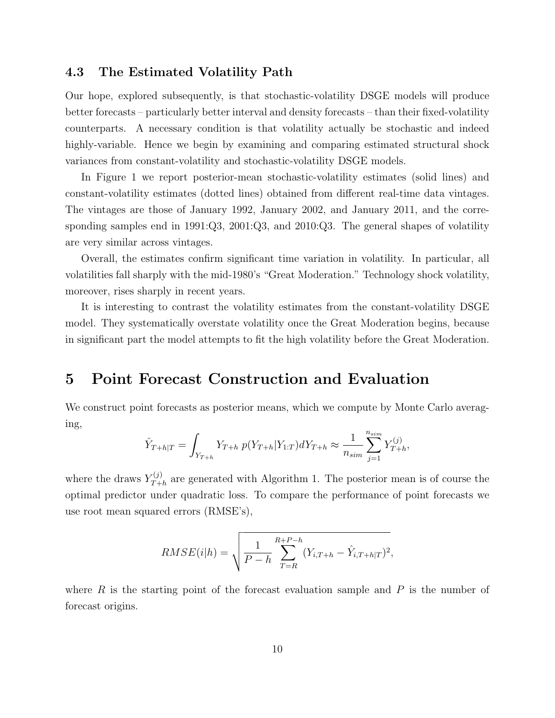### 4.3 The Estimated Volatility Path

Our hope, explored subsequently, is that stochastic-volatility DSGE models will produce better forecasts – particularly better interval and density forecasts – than their fixed-volatility counterparts. A necessary condition is that volatility actually be stochastic and indeed highly-variable. Hence we begin by examining and comparing estimated structural shock variances from constant-volatility and stochastic-volatility DSGE models.

In Figure [1](#page-12-0) we report posterior-mean stochastic-volatility estimates (solid lines) and constant-volatility estimates (dotted lines) obtained from different real-time data vintages. The vintages are those of January 1992, January 2002, and January 2011, and the corresponding samples end in 1991:Q3, 2001:Q3, and 2010:Q3. The general shapes of volatility are very similar across vintages.

Overall, the estimates confirm significant time variation in volatility. In particular, all volatilities fall sharply with the mid-1980's "Great Moderation." Technology shock volatility, moreover, rises sharply in recent years.

It is interesting to contrast the volatility estimates from the constant-volatility DSGE model. They systematically overstate volatility once the Great Moderation begins, because in significant part the model attempts to fit the high volatility before the Great Moderation.

# <span id="page-11-0"></span>5 Point Forecast Construction and Evaluation

We construct point forecasts as posterior means, which we compute by Monte Carlo averaging,

$$
\hat{Y}_{T+h|T} = \int_{Y_{T+h}} Y_{T+h} \ p(Y_{T+h}|Y_{1:T}) dY_{T+h} \approx \frac{1}{n_{sim}} \sum_{j=1}^{n_{sim}} Y_{T+h}^{(j)},
$$

where the draws  $Y_{T+}^{(j)}$  $T_{Th}^{(J)}$  are generated with Algorithm [1.](#page-8-1) The posterior mean is of course the optimal predictor under quadratic loss. To compare the performance of point forecasts we use root mean squared errors (RMSE's),

$$
RMSE(i|h) = \sqrt{\frac{1}{P - h} \sum_{T=R}^{R+P-h} (Y_{i,T+h} - \hat{Y}_{i,T+h|T})^2},
$$

where  $R$  is the starting point of the forecast evaluation sample and  $P$  is the number of forecast origins.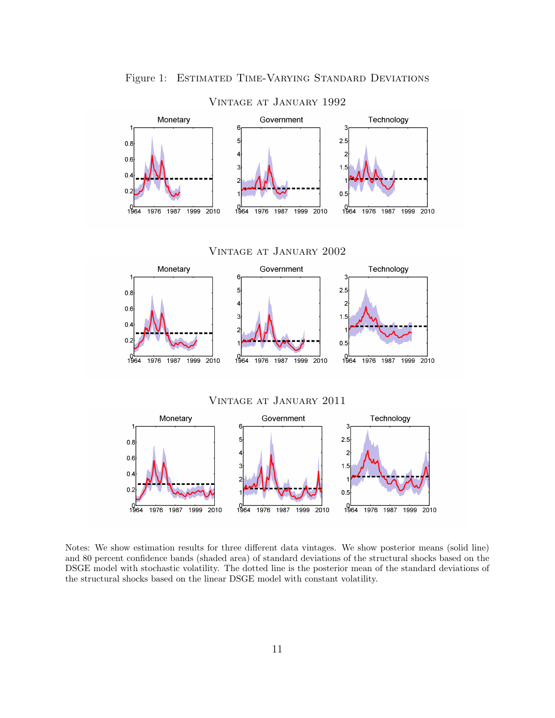

<span id="page-12-0"></span>Vintage at January 1992

Notes: We show estimation results for three different data vintages. We show posterior means (solid line) and 80 percent confidence bands (shaded area) of standard deviations of the structural shocks based on the DSGE model with stochastic volatility. The dotted line is the posterior mean of the standard deviations of the structural shocks based on the linear DSGE model with constant volatility.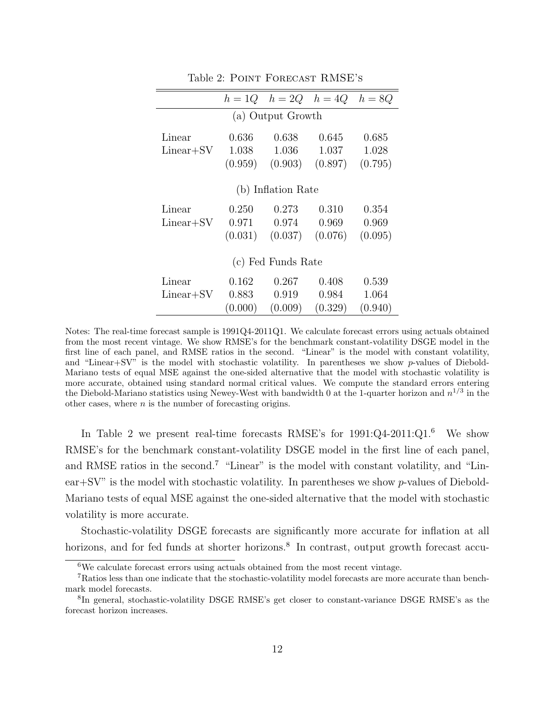|                    |                   | $h=1Q$ $h=2Q$ $h=4Q$ |         | $h = 8Q$ |  |  |
|--------------------|-------------------|----------------------|---------|----------|--|--|
|                    | (a) Output Growth |                      |         |          |  |  |
| Linear             | 0.636             | 0.638                | 0.645   | 0.685    |  |  |
| Linear+SV          | 1.038             | 1.036                | 1.037   | 1.028    |  |  |
|                    | (0.959)           | (0.903)              | (0.897) | (0.795)  |  |  |
| (b) Inflation Rate |                   |                      |         |          |  |  |
| Linear             | 0.250             | 0.273                | 0.310   | 0.354    |  |  |
| $Linear+SV$        | 0.971             | 0.974                | 0.969   | 0.969    |  |  |
|                    | (0.031)           | (0.037)              | (0.076) | (0.095)  |  |  |
| (c) Fed Funds Rate |                   |                      |         |          |  |  |
| Linear             | 0.162             | 0.267                | 0.408   | 0.539    |  |  |
| $Linear+SV$        | 0.883             | 0.919                | 0.984   | 1.064    |  |  |
|                    | (0.000)           | (0.009)              | (0.329) | (0.940)  |  |  |

<span id="page-13-0"></span>Table 2: POINT FORECAST RMSE's

In Table [2](#page-13-0) we present real-time forecasts RMSE's for  $1991:Q4-2011:Q1$ .<sup>[6](#page-13-1)</sup> We show RMSE's for the benchmark constant-volatility DSGE model in the first line of each panel, and RMSE ratios in the second.[7](#page-13-2) "Linear" is the model with constant volatility, and "Linear+SV" is the model with stochastic volatility. In parentheses we show  $p$ -values of Diebold-Mariano tests of equal MSE against the one-sided alternative that the model with stochastic volatility is more accurate.

Stochastic-volatility DSGE forecasts are significantly more accurate for inflation at all horizons, and for fed funds at shorter horizons.<sup>[8](#page-13-3)</sup> In contrast, output growth forecast accu-

Notes: The real-time forecast sample is 1991Q4-2011Q1. We calculate forecast errors using actuals obtained from the most recent vintage. We show RMSE's for the benchmark constant-volatility DSGE model in the first line of each panel, and RMSE ratios in the second. "Linear" is the model with constant volatility, and "Linear $+S$ V" is the model with stochastic volatility. In parentheses we show p-values of Diebold-Mariano tests of equal MSE against the one-sided alternative that the model with stochastic volatility is more accurate, obtained using standard normal critical values. We compute the standard errors entering the Diebold-Mariano statistics using Newey-West with bandwidth 0 at the 1-quarter horizon and  $n^{1/3}$  in the other cases, where  $n$  is the number of forecasting origins.

<span id="page-13-2"></span><span id="page-13-1"></span><sup>6</sup>We calculate forecast errors using actuals obtained from the most recent vintage.

<sup>7</sup>Ratios less than one indicate that the stochastic-volatility model forecasts are more accurate than benchmark model forecasts.

<span id="page-13-3"></span><sup>&</sup>lt;sup>8</sup>In general, stochastic-volatility DSGE RMSE's get closer to constant-variance DSGE RMSE's as the forecast horizon increases.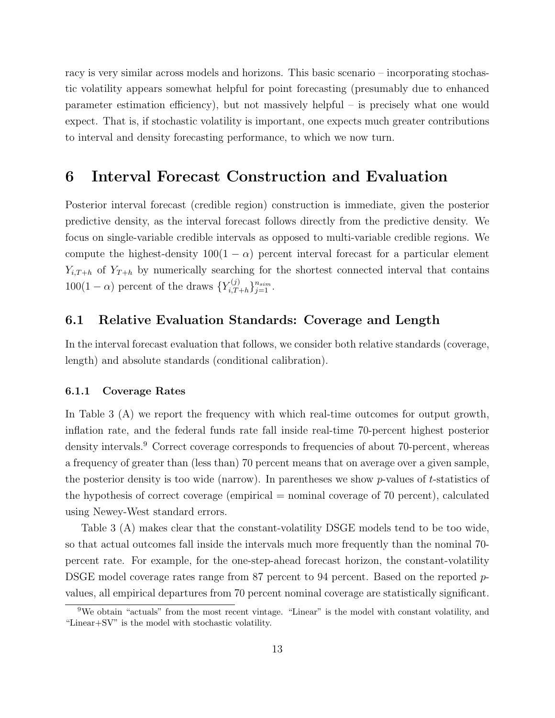racy is very similar across models and horizons. This basic scenario – incorporating stochastic volatility appears somewhat helpful for point forecasting (presumably due to enhanced parameter estimation efficiency), but not massively helpful – is precisely what one would expect. That is, if stochastic volatility is important, one expects much greater contributions to interval and density forecasting performance, to which we now turn.

## <span id="page-14-0"></span>6 Interval Forecast Construction and Evaluation

Posterior interval forecast (credible region) construction is immediate, given the posterior predictive density, as the interval forecast follows directly from the predictive density. We focus on single-variable credible intervals as opposed to multi-variable credible regions. We compute the highest-density  $100(1 - \alpha)$  percent interval forecast for a particular element  $Y_{i,T+h}$  of  $Y_{T+h}$  by numerically searching for the shortest connected interval that contains  $100(1-\alpha)$  percent of the draws  $\{Y_{i,T}^{(j)}\}$  $\{i,T+h\}_{j=1}^{n_{sim}}.$ 

### 6.1 Relative Evaluation Standards: Coverage and Length

In the interval forecast evaluation that follows, we consider both relative standards (coverage, length) and absolute standards (conditional calibration).

#### 6.1.1 Coverage Rates

In Table [3](#page-15-0) (A) we report the frequency with which real-time outcomes for output growth, inflation rate, and the federal funds rate fall inside real-time 70-percent highest posterior density intervals.<sup>[9](#page-14-1)</sup> Correct coverage corresponds to frequencies of about 70-percent, whereas a frequency of greater than (less than) 70 percent means that on average over a given sample, the posterior density is too wide (narrow). In parentheses we show  $p$ -values of t-statistics of the hypothesis of correct coverage (empirical  $=$  nominal coverage of 70 percent), calculated using Newey-West standard errors.

Table [3](#page-15-0) (A) makes clear that the constant-volatility DSGE models tend to be too wide, so that actual outcomes fall inside the intervals much more frequently than the nominal 70 percent rate. For example, for the one-step-ahead forecast horizon, the constant-volatility DSGE model coverage rates range from 87 percent to 94 percent. Based on the reported pvalues, all empirical departures from 70 percent nominal coverage are statistically significant.

<span id="page-14-1"></span><sup>9</sup>We obtain "actuals" from the most recent vintage. "Linear" is the model with constant volatility, and "Linear+SV" is the model with stochastic volatility.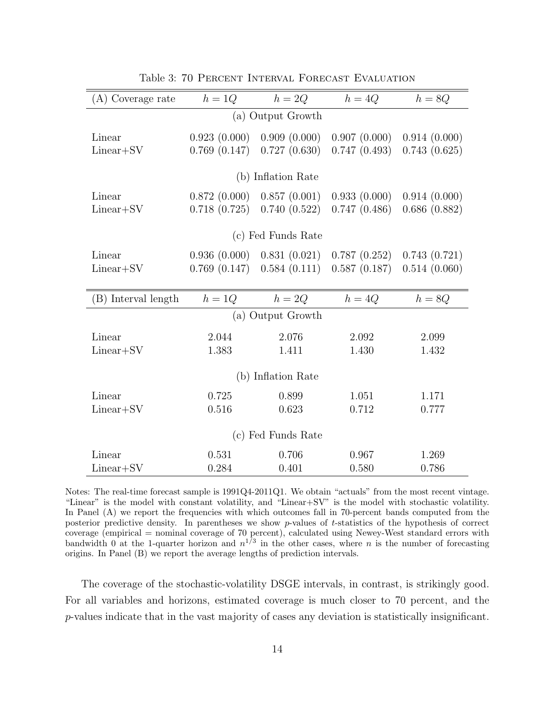| (A) Coverage rate     | $h=1Q$                       | $h=2Q$                       | $h=4Q$                       | $h = 8Q$                     |  |  |
|-----------------------|------------------------------|------------------------------|------------------------------|------------------------------|--|--|
| (a) Output Growth     |                              |                              |                              |                              |  |  |
| Linear<br>$Linear+SV$ | 0.923(0.000)<br>0.769(0.147) | 0.909(0.000)<br>0.727(0.630) | 0.907(0.000)<br>0.747(0.493) | 0.914(0.000)<br>0.743(0.625) |  |  |
|                       |                              |                              |                              |                              |  |  |
|                       |                              | (b) Inflation Rate           |                              |                              |  |  |
| Linear                | 0.872(0.000)                 | 0.857(0.001)                 | 0.933(0.000)                 | 0.914(0.000)                 |  |  |
| Linear+SV             | 0.718(0.725)                 | 0.740(0.522)                 | 0.747(0.486)                 | 0.686(0.882)                 |  |  |
|                       |                              | (c) Fed Funds Rate           |                              |                              |  |  |
| Linear                | 0.936(0.000)                 | 0.831(0.021)                 | 0.787(0.252)                 | 0.743(0.721)                 |  |  |
| $Linear+SV$           | 0.769(0.147)                 | 0.584(0.111)                 | 0.587(0.187)                 | 0.514(0.060)                 |  |  |
|                       |                              |                              |                              |                              |  |  |
| (B) Interval length   | $h=1Q$                       | $h=2Q$                       | $h=4Q$                       | $h = 8Q$                     |  |  |
| (a) Output Growth     |                              |                              |                              |                              |  |  |
| Linear                | 2.044                        | 2.076                        | 2.092                        | 2.099                        |  |  |
| $Linear+SV$           | 1.383                        | 1.411                        | 1.430                        | 1.432                        |  |  |
| (b) Inflation Rate    |                              |                              |                              |                              |  |  |
| Linear                | 0.725                        | 0.899                        | 1.051                        | 1.171                        |  |  |
| Linear+SV             | 0.516                        | 0.623                        | 0.712                        | 0.777                        |  |  |
| (c) Fed Funds Rate    |                              |                              |                              |                              |  |  |
| Linear                | 0.531                        | 0.706                        | 0.967                        | 1.269                        |  |  |
| Linear+SV             | 0.284                        | 0.401                        | 0.580                        | 0.786                        |  |  |

<span id="page-15-0"></span>Table 3: 70 Percent Interval Forecast Evaluation

Notes: The real-time forecast sample is 1991Q4-2011Q1. We obtain "actuals" from the most recent vintage. "Linear" is the model with constant volatility, and "Linear+SV" is the model with stochastic volatility. In Panel (A) we report the frequencies with which outcomes fall in 70-percent bands computed from the posterior predictive density. In parentheses we show p-values of t-statistics of the hypothesis of correct coverage (empirical = nominal coverage of 70 percent), calculated using Newey-West standard errors with bandwidth 0 at the 1-quarter horizon and  $n^{1/3}$  in the other cases, where n is the number of forecasting origins. In Panel (B) we report the average lengths of prediction intervals.

The coverage of the stochastic-volatility DSGE intervals, in contrast, is strikingly good. For all variables and horizons, estimated coverage is much closer to 70 percent, and the p-values indicate that in the vast majority of cases any deviation is statistically insignificant.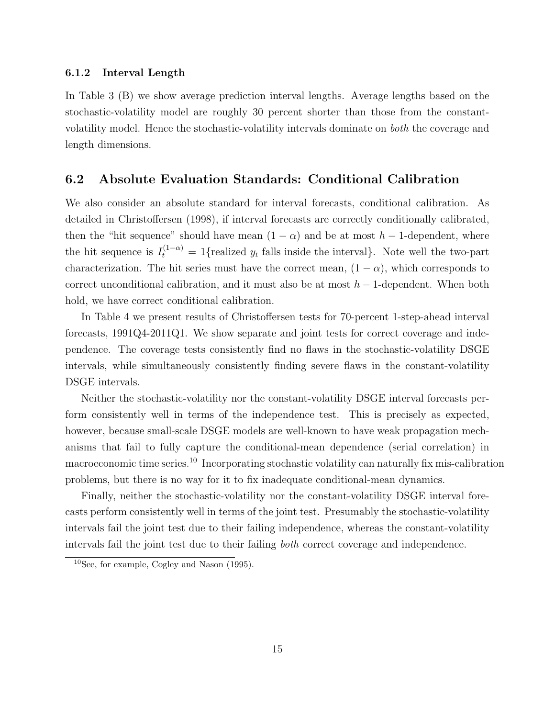#### 6.1.2 Interval Length

In Table [3](#page-15-0) (B) we show average prediction interval lengths. Average lengths based on the stochastic-volatility model are roughly 30 percent shorter than those from the constantvolatility model. Hence the stochastic-volatility intervals dominate on both the coverage and length dimensions.

## 6.2 Absolute Evaluation Standards: Conditional Calibration

We also consider an absolute standard for interval forecasts, conditional calibration. As detailed in [Christoffersen](#page-23-9) [\(1998\)](#page-23-9), if interval forecasts are correctly conditionally calibrated, then the "hit sequence" should have mean  $(1 - \alpha)$  and be at most  $h - 1$ -dependent, where the hit sequence is  $I_t^{(1-\alpha)} = 1$  {realized  $y_t$  falls inside the interval}. Note well the two-part characterization. The hit series must have the correct mean,  $(1 - \alpha)$ , which corresponds to correct unconditional calibration, and it must also be at most  $h-1$ -dependent. When both hold, we have correct conditional calibration.

In Table [4](#page-17-1) we present results of Christoffersen tests for 70-percent 1-step-ahead interval forecasts, 1991Q4-2011Q1. We show separate and joint tests for correct coverage and independence. The coverage tests consistently find no flaws in the stochastic-volatility DSGE intervals, while simultaneously consistently finding severe flaws in the constant-volatility DSGE intervals.

Neither the stochastic-volatility nor the constant-volatility DSGE interval forecasts perform consistently well in terms of the independence test. This is precisely as expected, however, because small-scale DSGE models are well-known to have weak propagation mechanisms that fail to fully capture the conditional-mean dependence (serial correlation) in macroeconomic time series.<sup>[10](#page-16-0)</sup> Incorporating stochastic volatility can naturally fix mis-calibration problems, but there is no way for it to fix inadequate conditional-mean dynamics.

Finally, neither the stochastic-volatility nor the constant-volatility DSGE interval forecasts perform consistently well in terms of the joint test. Presumably the stochastic-volatility intervals fail the joint test due to their failing independence, whereas the constant-volatility intervals fail the joint test due to their failing both correct coverage and independence.

<span id="page-16-0"></span> $10$ See, for example, [Cogley and Nason](#page-23-10) [\(1995\)](#page-23-10).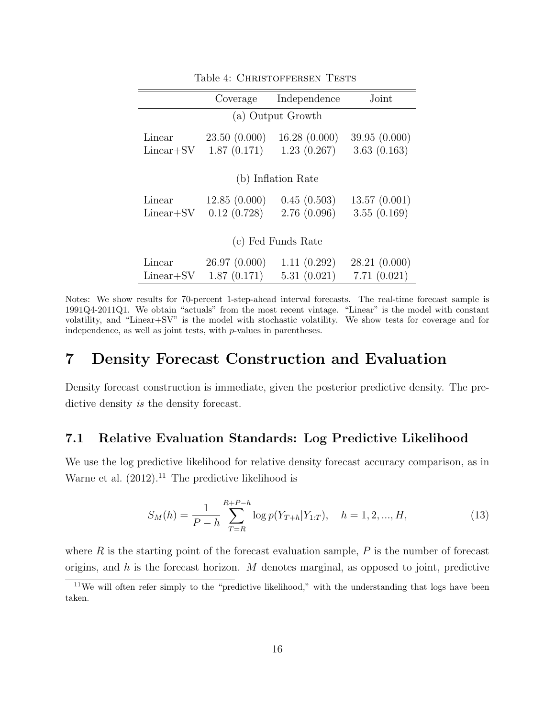|                       | Coverage                    | Independence                | Joint                       |  |  |  |  |
|-----------------------|-----------------------------|-----------------------------|-----------------------------|--|--|--|--|
|                       | (a) Output Growth           |                             |                             |  |  |  |  |
| Linear<br>$Linear+SV$ | 23.50(0.000)<br>1.87(0.171) | 16.28(0.000)<br>1.23(0.267) | 39.95(0.000)<br>3.63(0.163) |  |  |  |  |
| (b) Inflation Rate    |                             |                             |                             |  |  |  |  |
| Linear<br>$Linear+SV$ | 12.85(0.000)<br>0.12(0.728) | 0.45(0.503)<br>2.76(0.096)  | 13.57(0.001)<br>3.55(0.169) |  |  |  |  |
| (c) Fed Funds Rate    |                             |                             |                             |  |  |  |  |
| Linear<br>$Linear+SV$ | 26.97(0.000)<br>1.87(0.171) | 1.11(0.292)<br>5.31(0.021)  | 28.21(0.000)<br>7.71(0.021) |  |  |  |  |

<span id="page-17-1"></span>Table 4: CHRISTOFFERSEN TESTS

Notes: We show results for 70-percent 1-step-ahead interval forecasts. The real-time forecast sample is 1991Q4-2011Q1. We obtain "actuals" from the most recent vintage. "Linear" is the model with constant volatility, and "Linear+SV" is the model with stochastic volatility. We show tests for coverage and for independence, as well as joint tests, with p-values in parentheses.

# <span id="page-17-0"></span>7 Density Forecast Construction and Evaluation

Density forecast construction is immediate, given the posterior predictive density. The predictive density is the density forecast.

## 7.1 Relative Evaluation Standards: Log Predictive Likelihood

We use the log predictive likelihood for relative density forecast accuracy comparison, as in [Warne et al.](#page-24-10)  $(2012).<sup>11</sup>$  $(2012).<sup>11</sup>$  $(2012).<sup>11</sup>$  $(2012).<sup>11</sup>$  The predictive likelihood is

$$
S_M(h) = \frac{1}{P - h} \sum_{T=R}^{R+P-h} \log p(Y_{T+h}|Y_{1:T}), \quad h = 1, 2, ..., H,
$$
\n(13)

where  $R$  is the starting point of the forecast evaluation sample,  $P$  is the number of forecast origins, and h is the forecast horizon. M denotes marginal, as opposed to joint, predictive

<span id="page-17-2"></span><sup>&</sup>lt;sup>11</sup>We will often refer simply to the "predictive likelihood," with the understanding that logs have been taken.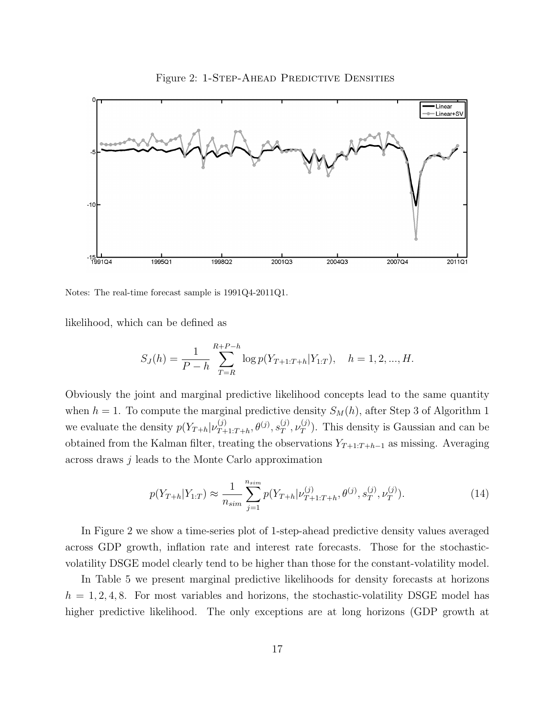

<span id="page-18-0"></span>Figure 2: 1-STEP-AHEAD PREDICTIVE DENSITIES

Notes: The real-time forecast sample is 1991Q4-2011Q1.

likelihood, which can be defined as

$$
S_J(h) = \frac{1}{P - h} \sum_{T=R}^{R+P-h} \log p(Y_{T+1:T+h}|Y_{1:T}), \quad h = 1, 2, ..., H.
$$

Obviously the joint and marginal predictive likelihood concepts lead to the same quantity when  $h = 1$  $h = 1$ . To compute the marginal predictive density  $S_M(h)$ , after Step 3 of Algorithm 1 we evaluate the density  $p(Y_{T+h}|\nu_{T+h}^{(j)})$  $\overset{(j)}{_{T+1:T+h}},\theta^{(j)},s^{(j)}_{T}$  $_T^{(j)}, \nu_T^{(j)}$  $T(T)$ . This density is Gaussian and can be obtained from the Kalman filter, treating the observations  $Y_{T+1:T+h-1}$  as missing. Averaging across draws j leads to the Monte Carlo approximation

$$
p(Y_{T+h}|Y_{1:T}) \approx \frac{1}{n_{sim}} \sum_{j=1}^{n_{sim}} p(Y_{T+h}|\nu_{T+1:T+h}^{(j)}, \theta^{(j)}, s_T^{(j)}, \nu_T^{(j)}).
$$
(14)

In Figure [2](#page-18-0) we show a time-series plot of 1-step-ahead predictive density values averaged across GDP growth, inflation rate and interest rate forecasts. Those for the stochasticvolatility DSGE model clearly tend to be higher than those for the constant-volatility model.

In Table [5](#page-19-0) we present marginal predictive likelihoods for density forecasts at horizons  $h = 1, 2, 4, 8$ . For most variables and horizons, the stochastic-volatility DSGE model has higher predictive likelihood. The only exceptions are at long horizons (GDP growth at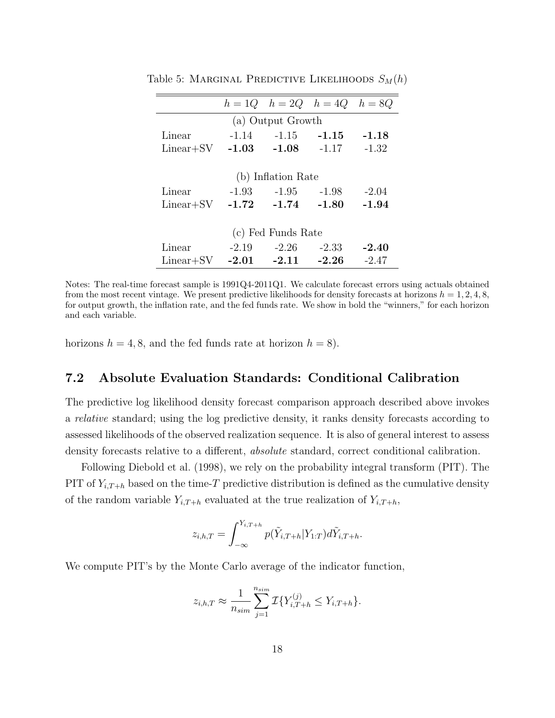<span id="page-19-0"></span>

|                    |         | $h = 1Q$ $h = 2Q$ $h = 4Q$ $h = 8Q$ |         |         |  |
|--------------------|---------|-------------------------------------|---------|---------|--|
|                    |         | (a) Output Growth                   |         |         |  |
| Linear             |         | $-1.14$ $-1.15$ $-1.15$             |         | $-1.18$ |  |
| $Linear+SV$        | $-1.03$ | $-1.08$                             | $-1.17$ | $-1.32$ |  |
|                    |         |                                     |         |         |  |
| (b) Inflation Rate |         |                                     |         |         |  |
| Linear             |         | $-1.93 -1.95$                       | -1.98   | $-2.04$ |  |
| $Linear+SV$        | $-1.72$ | $-1.74$                             | $-1.80$ | $-1.94$ |  |
|                    |         |                                     |         |         |  |
| (c) Fed Funds Rate |         |                                     |         |         |  |
| Linear             | $-2.19$ | $-2.26$                             | $-2.33$ | $-2.40$ |  |
| $Linear+SV$        | $-2.01$ | $-2.11$                             | $-2.26$ | $-2.47$ |  |

Table 5: MARGINAL PREDICTIVE LIKELIHOODS  $S_M(h)$ 

Notes: The real-time forecast sample is 1991Q4-2011Q1. We calculate forecast errors using actuals obtained from the most recent vintage. We present predictive likelihoods for density forecasts at horizons  $h = 1, 2, 4, 8$ , for output growth, the inflation rate, and the fed funds rate. We show in bold the "winners," for each horizon and each variable.

horizons  $h = 4, 8$ , and the fed funds rate at horizon  $h = 8$ ).

## 7.2 Absolute Evaluation Standards: Conditional Calibration

The predictive log likelihood density forecast comparison approach described above invokes a relative standard; using the log predictive density, it ranks density forecasts according to assessed likelihoods of the observed realization sequence. It is also of general interest to assess density forecasts relative to a different, *absolute* standard, correct conditional calibration.

Following [Diebold et al.](#page-23-11) [\(1998\)](#page-23-11), we rely on the probability integral transform (PIT). The PIT of  $Y_{i,T+h}$  based on the time-T predictive distribution is defined as the cumulative density of the random variable  $Y_{i,T+h}$  evaluated at the true realization of  $Y_{i,T+h}$ ,

$$
z_{i,h,T} = \int_{-\infty}^{Y_{i,T+h}} p(\tilde{Y}_{i,T+h}|Y_{1:T}) d\tilde{Y}_{i,T+h}.
$$

We compute PIT's by the Monte Carlo average of the indicator function,

$$
z_{i,h,T} \approx \frac{1}{n_{sim}} \sum_{j=1}^{n_{sim}} \mathcal{I}\{Y_{i,T+h}^{(j)} \le Y_{i,T+h}\}.
$$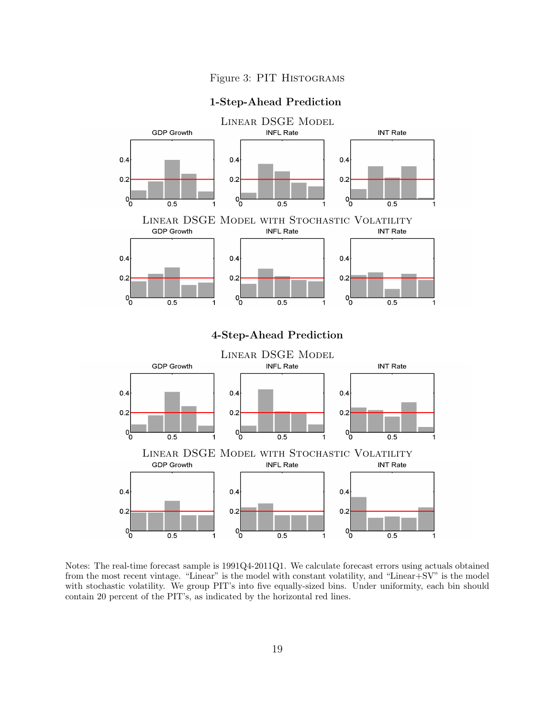<span id="page-20-0"></span>

#### 1-Step-Ahead Prediction



Notes: The real-time forecast sample is 1991Q4-2011Q1. We calculate forecast errors using actuals obtained from the most recent vintage. "Linear" is the model with constant volatility, and "Linear+SV" is the model with stochastic volatility. We group PIT's into five equally-sized bins. Under uniformity, each bin should contain 20 percent of the PIT's, as indicated by the horizontal red lines.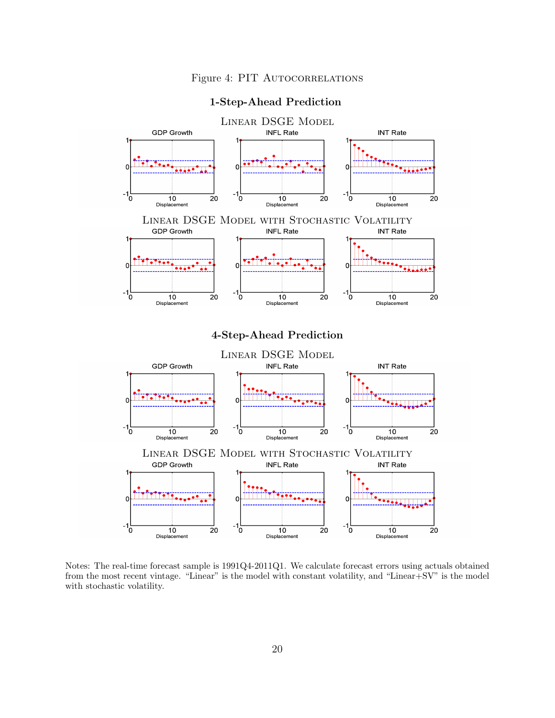

## <span id="page-21-0"></span>1-Step-Ahead Prediction

Notes: The real-time forecast sample is 1991Q4-2011Q1. We calculate forecast errors using actuals obtained from the most recent vintage. "Linear" is the model with constant volatility, and "Linear+SV" is the model with stochastic volatility.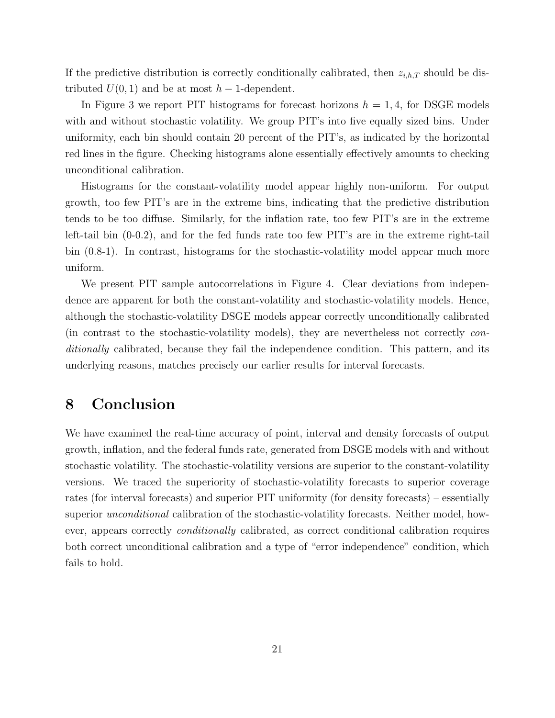If the predictive distribution is correctly conditionally calibrated, then  $z_{i,h,T}$  should be distributed  $U(0, 1)$  and be at most  $h - 1$ -dependent.

In Figure [3](#page-20-0) we report PIT histograms for forecast horizons  $h = 1, 4$ , for DSGE models with and without stochastic volatility. We group PIT's into five equally sized bins. Under uniformity, each bin should contain 20 percent of the PIT's, as indicated by the horizontal red lines in the figure. Checking histograms alone essentially effectively amounts to checking unconditional calibration.

Histograms for the constant-volatility model appear highly non-uniform. For output growth, too few PIT's are in the extreme bins, indicating that the predictive distribution tends to be too diffuse. Similarly, for the inflation rate, too few PIT's are in the extreme left-tail bin (0-0.2), and for the fed funds rate too few PIT's are in the extreme right-tail bin (0.8-1). In contrast, histograms for the stochastic-volatility model appear much more uniform.

We present PIT sample autocorrelations in Figure [4.](#page-21-0) Clear deviations from independence are apparent for both the constant-volatility and stochastic-volatility models. Hence, although the stochastic-volatility DSGE models appear correctly unconditionally calibrated (in contrast to the stochastic-volatility models), they are nevertheless not correctly conditionally calibrated, because they fail the independence condition. This pattern, and its underlying reasons, matches precisely our earlier results for interval forecasts.

# <span id="page-22-0"></span>8 Conclusion

We have examined the real-time accuracy of point, interval and density forecasts of output growth, inflation, and the federal funds rate, generated from DSGE models with and without stochastic volatility. The stochastic-volatility versions are superior to the constant-volatility versions. We traced the superiority of stochastic-volatility forecasts to superior coverage rates (for interval forecasts) and superior PIT uniformity (for density forecasts) – essentially superior *unconditional* calibration of the stochastic-volatility forecasts. Neither model, however, appears correctly conditionally calibrated, as correct conditional calibration requires both correct unconditional calibration and a type of "error independence" condition, which fails to hold.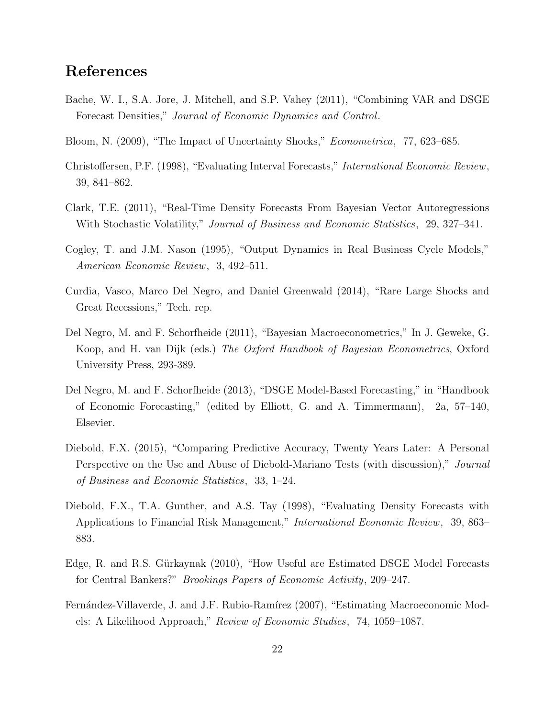# References

- <span id="page-23-4"></span>Bache, W. I., S.A. Jore, J. Mitchell, and S.P. Vahey (2011), "Combining VAR and DSGE Forecast Densities," Journal of Economic Dynamics and Control.
- <span id="page-23-0"></span>Bloom, N. (2009), "The Impact of Uncertainty Shocks," Econometrica, 77, 623–685.
- <span id="page-23-9"></span>Christoffersen, P.F. (1998), "Evaluating Interval Forecasts," International Economic Review, 39, 841–862.
- <span id="page-23-2"></span>Clark, T.E. (2011), "Real-Time Density Forecasts From Bayesian Vector Autoregressions With Stochastic Volatility," *Journal of Business and Economic Statistics*, 29, 327–341.
- <span id="page-23-10"></span>Cogley, T. and J.M. Nason (1995), "Output Dynamics in Real Business Cycle Models," American Economic Review, 3, 492–511.
- <span id="page-23-1"></span>Curdia, Vasco, Marco Del Negro, and Daniel Greenwald (2014), "Rare Large Shocks and Great Recessions," Tech. rep.
- <span id="page-23-6"></span>Del Negro, M. and F. Schorfheide (2011), "Bayesian Macroeconometrics," In J. Geweke, G. Koop, and H. van Dijk (eds.) The Oxford Handbook of Bayesian Econometrics, Oxford University Press, 293-389.
- <span id="page-23-3"></span>Del Negro, M. and F. Schorfheide (2013), "DSGE Model-Based Forecasting," in "Handbook of Economic Forecasting," (edited by Elliott, G. and A. Timmermann), 2a, 57–140, Elsevier.
- <span id="page-23-8"></span>Diebold, F.X. (2015), "Comparing Predictive Accuracy, Twenty Years Later: A Personal Perspective on the Use and Abuse of Diebold-Mariano Tests (with discussion)," Journal of Business and Economic Statistics, 33, 1–24.
- <span id="page-23-11"></span>Diebold, F.X., T.A. Gunther, and A.S. Tay (1998), "Evaluating Density Forecasts with Applications to Financial Risk Management," International Economic Review, 39, 863– 883.
- <span id="page-23-7"></span>Edge, R. and R.S. Gürkaynak (2010), "How Useful are Estimated DSGE Model Forecasts for Central Bankers?" Brookings Papers of Economic Activity, 209–247.
- <span id="page-23-5"></span>Fernández-Villaverde, J. and J.F. Rubio-Ramírez (2007), "Estimating Macroeconomic Models: A Likelihood Approach," Review of Economic Studies, 74, 1059–1087.